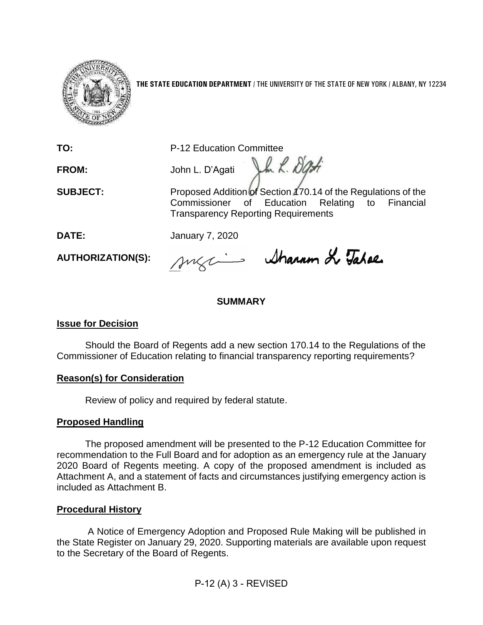

**THE STATE EDUCATION DEPARTMENT** / THE UNIVERSITY OF THE STATE OF NEW YORK / ALBANY, NY 12234

**TO:** P-12 Education Committee

Vh L. Dati **FROM:** John L. D'Agati

**SUBJECT:** Proposed Addition of Section 170.14 of the Regulations of the Commissioner of Education Relating to Financial Transparency Reporting Requirements

**DATE:** January 7, 2020

**AUTHORIZATION(S):**

sugains Sharam de Tabae.

# **SUMMARY**

# **Issue for Decision**

Should the Board of Regents add a new section 170.14 to the Regulations of the Commissioner of Education relating to financial transparency reporting requirements?

## **Reason(s) for Consideration**

Review of policy and required by federal statute.

# **Proposed Handling**

The proposed amendment will be presented to the P-12 Education Committee for recommendation to the Full Board and for adoption as an emergency rule at the January 2020 Board of Regents meeting. A copy of the proposed amendment is included as Attachment A, and a statement of facts and circumstances justifying emergency action is included as Attachment B.

# **Procedural History**

A Notice of Emergency Adoption and Proposed Rule Making will be published in the State Register on January 29, 2020. Supporting materials are available upon request to the Secretary of the Board of Regents.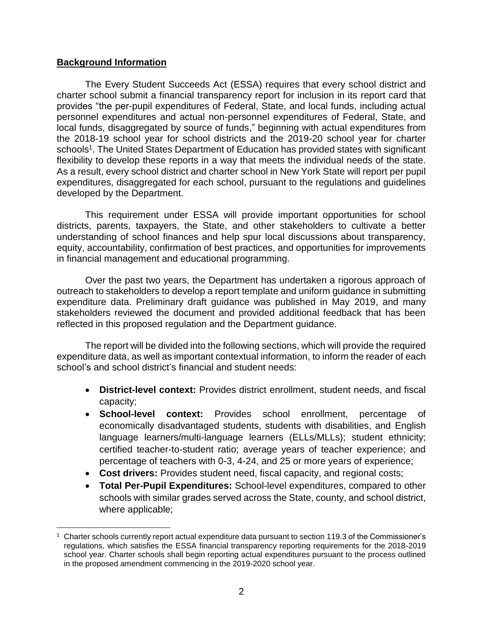## **Background Information**

The Every Student Succeeds Act (ESSA) requires that every school district and charter school submit a financial transparency report for inclusion in its report card that provides "the per-pupil expenditures of Federal, State, and local funds, including actual personnel expenditures and actual non-personnel expenditures of Federal, State, and local funds, disaggregated by source of funds," beginning with actual expenditures from the 2018-19 school year for school districts and the 2019-20 school year for charter schools<sup>1</sup>. The United States Department of Education has provided states with significant flexibility to develop these reports in a way that meets the individual needs of the state. As a result, every school district and charter school in New York State will report per pupil expenditures, disaggregated for each school, pursuant to the regulations and guidelines developed by the Department.

This requirement under ESSA will provide important opportunities for school districts, parents, taxpayers, the State, and other stakeholders to cultivate a better understanding of school finances and help spur local discussions about transparency, equity, accountability, confirmation of best practices, and opportunities for improvements in financial management and educational programming.

Over the past two years, the Department has undertaken a rigorous approach of outreach to stakeholders to develop a report template and uniform guidance in submitting expenditure data. Preliminary draft guidance was published in May 2019, and many stakeholders reviewed the document and provided additional feedback that has been reflected in this proposed regulation and the Department guidance.

The report will be divided into the following sections, which will provide the required expenditure data, as well as important contextual information, to inform the reader of each school's and school district's financial and student needs:

- **District-level context:** Provides district enrollment, student needs, and fiscal capacity;
- **School-level context:** Provides school enrollment, percentage of economically disadvantaged students, students with disabilities, and English language learners/multi-language learners (ELLs/MLLs); student ethnicity; certified teacher-to-student ratio; average years of teacher experience; and percentage of teachers with 0-3, 4-24, and 25 or more years of experience;
- **Cost drivers:** Provides student need, fiscal capacity, and regional costs;
- **Total Per-Pupil Expenditures:** School-level expenditures, compared to other schools with similar grades served across the State, county, and school district, where applicable;

<sup>1</sup> Charter schools currently report actual expenditure data pursuant to section 119.3 of the Commissioner's regulations, which satisfies the ESSA financial transparency reporting requirements for the 2018-2019 school year. Charter schools shall begin reporting actual expenditures pursuant to the process outlined in the proposed amendment commencing in the 2019-2020 school year.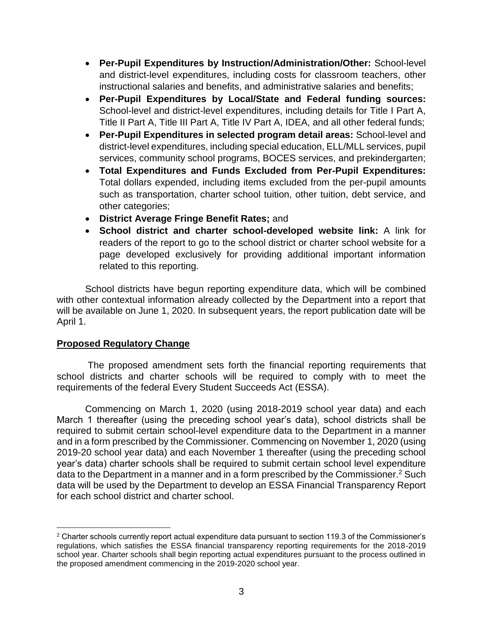- **Per-Pupil Expenditures by Instruction/Administration/Other:** School-level and district-level expenditures, including costs for classroom teachers, other instructional salaries and benefits, and administrative salaries and benefits;
- **Per-Pupil Expenditures by Local/State and Federal funding sources:** School-level and district-level expenditures, including details for Title I Part A, Title II Part A, Title III Part A, Title IV Part A, IDEA, and all other federal funds;
- **Per-Pupil Expenditures in selected program detail areas:** School-level and district-level expenditures, including special education, ELL/MLL services, pupil services, community school programs, BOCES services, and prekindergarten;
- **Total Expenditures and Funds Excluded from Per-Pupil Expenditures:** Total dollars expended, including items excluded from the per-pupil amounts such as transportation, charter school tuition, other tuition, debt service, and other categories;
- **District Average Fringe Benefit Rates;** and
- **School district and charter school-developed website link:** A link for readers of the report to go to the school district or charter school website for a page developed exclusively for providing additional important information related to this reporting.

School districts have begun reporting expenditure data, which will be combined with other contextual information already collected by the Department into a report that will be available on June 1, 2020. In subsequent years, the report publication date will be April 1.

## **Proposed Regulatory Change**

 $\overline{a}$ 

The proposed amendment sets forth the financial reporting requirements that school districts and charter schools will be required to comply with to meet the requirements of the federal Every Student Succeeds Act (ESSA).

Commencing on March 1, 2020 (using 2018-2019 school year data) and each March 1 thereafter (using the preceding school year's data), school districts shall be required to submit certain school-level expenditure data to the Department in a manner and in a form prescribed by the Commissioner. Commencing on November 1, 2020 (using 2019-20 school year data) and each November 1 thereafter (using the preceding school year's data) charter schools shall be required to submit certain school level expenditure data to the Department in a manner and in a form prescribed by the Commissioner.<sup>2</sup> Such data will be used by the Department to develop an ESSA Financial Transparency Report for each school district and charter school.

<sup>2</sup> Charter schools currently report actual expenditure data pursuant to section 119.3 of the Commissioner's regulations, which satisfies the ESSA financial transparency reporting requirements for the 2018-2019 school year. Charter schools shall begin reporting actual expenditures pursuant to the process outlined in the proposed amendment commencing in the 2019-2020 school year.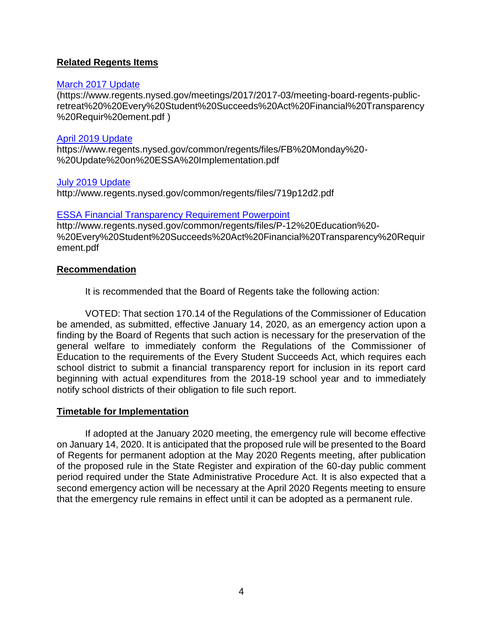## **Related Regents Items**

#### [March 2017 Update](https://www.regents.nysed.gov/meetings/2017/2017-03/meeting-board-regents-public-retreat%20%20Every%20Student%20Succeeds%20Act%20Financial%20Transparency%20Requir%20ement.pdf)

(https://www.regents.nysed.gov/meetings/2017/2017-03/meeting-board-regents-publicretreat%20%20Every%20Student%20Succeeds%20Act%20Financial%20Transparency %20Requir%20ement.pdf )

#### [April 2019 Update](https://www.regents.nysed.gov/common/regents/files/FB%20Monday%20-%20Update%20on%20ESSA%20Implementation.pdf)

https://www.regents.nysed.gov/common/regents/files/FB%20Monday%20- %20Update%20on%20ESSA%20Implementation.pdf

## [July 2019 Update](http://www.regents.nysed.gov/common/regents/files/719p12d2.pdf)

http://www.regents.nysed.gov/common/regents/files/719p12d2.pdf

#### [ESSA Financial Transparency Requirement Powerpoint](http://www.regents.nysed.gov/common/regents/files/P-12%20Education%20-%20Every%20Student%20Succeeds%20Act%20Financial%20Transparency%20Requirement.pdf)

http://www.regents.nysed.gov/common/regents/files/P-12%20Education%20- %20Every%20Student%20Succeeds%20Act%20Financial%20Transparency%20Requir ement.pdf

#### **Recommendation**

It is recommended that the Board of Regents take the following action:

VOTED: That section 170.14 of the Regulations of the Commissioner of Education be amended, as submitted, effective January 14, 2020, as an emergency action upon a finding by the Board of Regents that such action is necessary for the preservation of the general welfare to immediately conform the Regulations of the Commissioner of Education to the requirements of the Every Student Succeeds Act, which requires each school district to submit a financial transparency report for inclusion in its report card beginning with actual expenditures from the 2018-19 school year and to immediately notify school districts of their obligation to file such report.

## **Timetable for Implementation**

If adopted at the January 2020 meeting, the emergency rule will become effective on January 14, 2020. It is anticipated that the proposed rule will be presented to the Board of Regents for permanent adoption at the May 2020 Regents meeting, after publication of the proposed rule in the State Register and expiration of the 60-day public comment period required under the State Administrative Procedure Act. It is also expected that a second emergency action will be necessary at the April 2020 Regents meeting to ensure that the emergency rule remains in effect until it can be adopted as a permanent rule.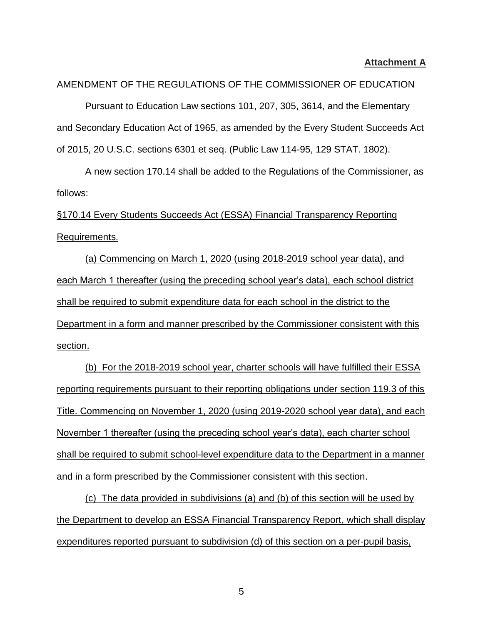#### **Attachment A**

#### AMENDMENT OF THE REGULATIONS OF THE COMMISSIONER OF EDUCATION

Pursuant to Education Law sections 101, 207, 305, 3614, and the Elementary and Secondary Education Act of 1965, as amended by the Every Student Succeeds Act of 2015, 20 U.S.C. sections 6301 et seq. (Public Law 114-95, 129 STAT. 1802).

A new section 170.14 shall be added to the Regulations of the Commissioner, as follows:

§170.14 Every Students Succeeds Act (ESSA) Financial Transparency Reporting Requirements.

(a) Commencing on March 1, 2020 (using 2018-2019 school year data), and each March 1 thereafter (using the preceding school year's data), each school district shall be required to submit expenditure data for each school in the district to the Department in a form and manner prescribed by the Commissioner consistent with this section.

(b) For the 2018-2019 school year, charter schools will have fulfilled their ESSA reporting requirements pursuant to their reporting obligations under section 119.3 of this Title. Commencing on November 1, 2020 (using 2019-2020 school year data), and each November 1 thereafter (using the preceding school year's data), each charter school shall be required to submit school-level expenditure data to the Department in a manner and in a form prescribed by the Commissioner consistent with this section.

(c) The data provided in subdivisions (a) and (b) of this section will be used by the Department to develop an ESSA Financial Transparency Report, which shall display expenditures reported pursuant to subdivision (d) of this section on a per-pupil basis,

5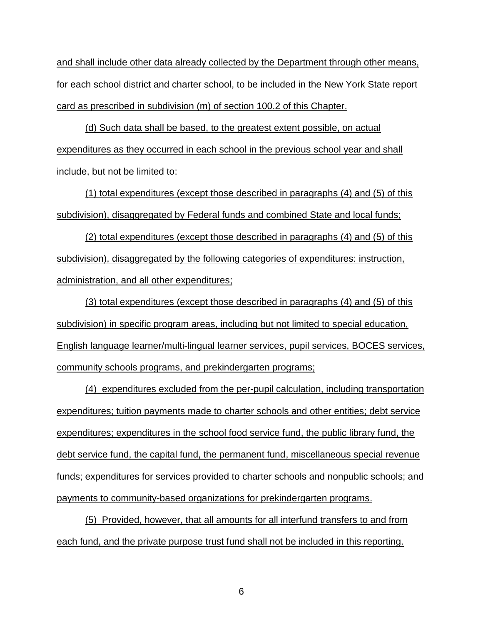and shall include other data already collected by the Department through other means, for each school district and charter school, to be included in the New York State report card as prescribed in subdivision (m) of section 100.2 of this Chapter.

(d) Such data shall be based, to the greatest extent possible, on actual expenditures as they occurred in each school in the previous school year and shall include, but not be limited to:

(1) total expenditures (except those described in paragraphs (4) and (5) of this subdivision), disaggregated by Federal funds and combined State and local funds;

(2) total expenditures (except those described in paragraphs (4) and (5) of this subdivision), disaggregated by the following categories of expenditures: instruction, administration, and all other expenditures;

(3) total expenditures (except those described in paragraphs (4) and (5) of this subdivision) in specific program areas, including but not limited to special education, English language learner/multi-lingual learner services, pupil services, BOCES services, community schools programs, and prekindergarten programs;

(4) expenditures excluded from the per-pupil calculation, including transportation expenditures; tuition payments made to charter schools and other entities; debt service expenditures; expenditures in the school food service fund, the public library fund, the debt service fund, the capital fund, the permanent fund, miscellaneous special revenue funds; expenditures for services provided to charter schools and nonpublic schools; and payments to community-based organizations for prekindergarten programs.

(5) Provided, however, that all amounts for all interfund transfers to and from each fund, and the private purpose trust fund shall not be included in this reporting.

6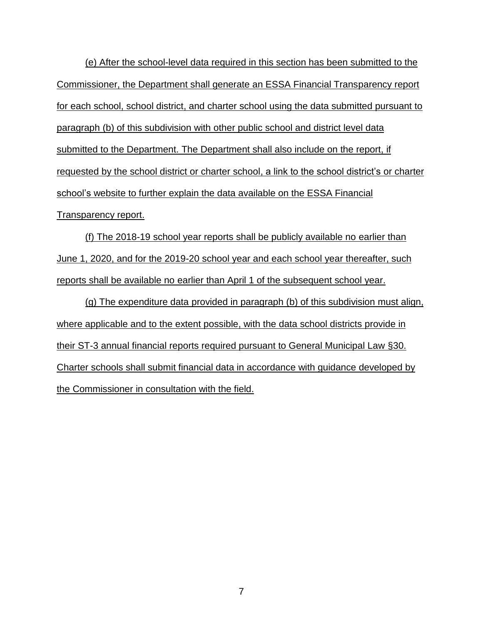(e) After the school-level data required in this section has been submitted to the Commissioner, the Department shall generate an ESSA Financial Transparency report for each school, school district, and charter school using the data submitted pursuant to paragraph (b) of this subdivision with other public school and district level data submitted to the Department. The Department shall also include on the report, if requested by the school district or charter school, a link to the school district's or charter school's website to further explain the data available on the ESSA Financial Transparency report.

(f) The 2018-19 school year reports shall be publicly available no earlier than June 1, 2020, and for the 2019-20 school year and each school year thereafter, such reports shall be available no earlier than April 1 of the subsequent school year.

(g) The expenditure data provided in paragraph (b) of this subdivision must align, where applicable and to the extent possible, with the data school districts provide in their ST-3 annual financial reports required pursuant to General Municipal Law §30. Charter schools shall submit financial data in accordance with guidance developed by the Commissioner in consultation with the field.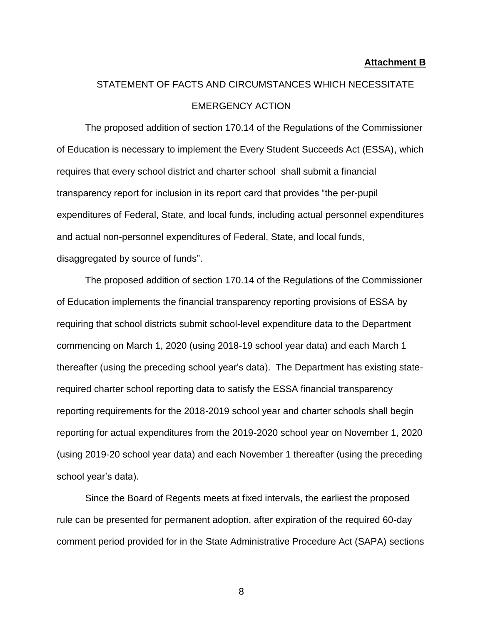#### **Attachment B**

# STATEMENT OF FACTS AND CIRCUMSTANCES WHICH NECESSITATE EMERGENCY ACTION

The proposed addition of section 170.14 of the Regulations of the Commissioner of Education is necessary to implement the Every Student Succeeds Act (ESSA), which requires that every school district and charter school shall submit a financial transparency report for inclusion in its report card that provides "the per-pupil expenditures of Federal, State, and local funds, including actual personnel expenditures and actual non-personnel expenditures of Federal, State, and local funds, disaggregated by source of funds".

The proposed addition of section 170.14 of the Regulations of the Commissioner of Education implements the financial transparency reporting provisions of ESSA by requiring that school districts submit school-level expenditure data to the Department commencing on March 1, 2020 (using 2018-19 school year data) and each March 1 thereafter (using the preceding school year's data). The Department has existing staterequired charter school reporting data to satisfy the ESSA financial transparency reporting requirements for the 2018-2019 school year and charter schools shall begin reporting for actual expenditures from the 2019-2020 school year on November 1, 2020 (using 2019-20 school year data) and each November 1 thereafter (using the preceding school year's data).

Since the Board of Regents meets at fixed intervals, the earliest the proposed rule can be presented for permanent adoption, after expiration of the required 60-day comment period provided for in the State Administrative Procedure Act (SAPA) sections

8